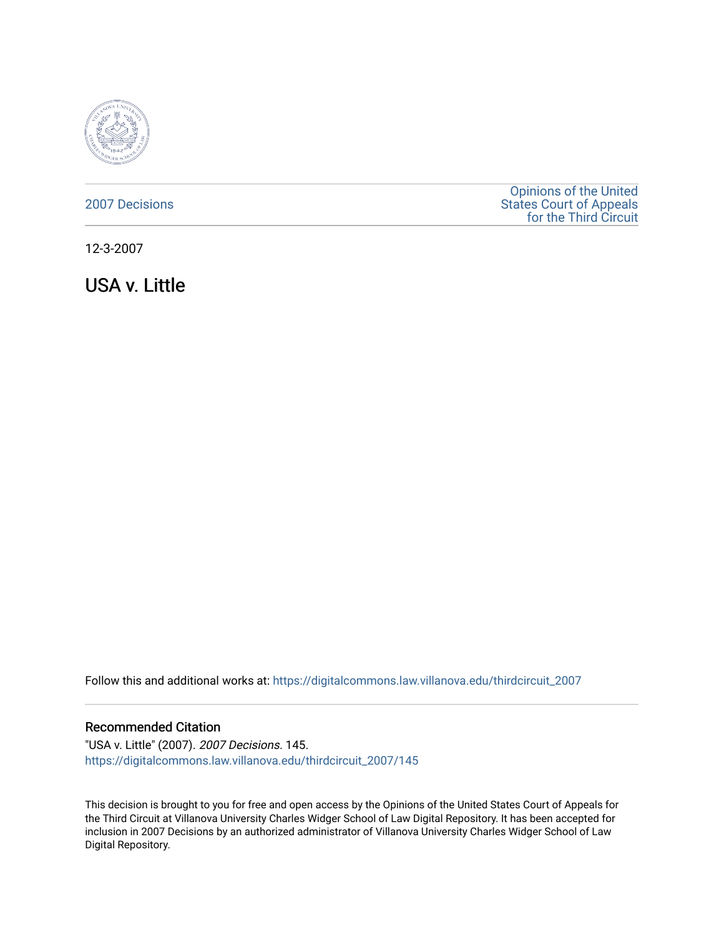

### [2007 Decisions](https://digitalcommons.law.villanova.edu/thirdcircuit_2007)

[Opinions of the United](https://digitalcommons.law.villanova.edu/thirdcircuit)  [States Court of Appeals](https://digitalcommons.law.villanova.edu/thirdcircuit)  [for the Third Circuit](https://digitalcommons.law.villanova.edu/thirdcircuit) 

12-3-2007

USA v. Little

Follow this and additional works at: [https://digitalcommons.law.villanova.edu/thirdcircuit\\_2007](https://digitalcommons.law.villanova.edu/thirdcircuit_2007?utm_source=digitalcommons.law.villanova.edu%2Fthirdcircuit_2007%2F145&utm_medium=PDF&utm_campaign=PDFCoverPages) 

### Recommended Citation

"USA v. Little" (2007). 2007 Decisions. 145. [https://digitalcommons.law.villanova.edu/thirdcircuit\\_2007/145](https://digitalcommons.law.villanova.edu/thirdcircuit_2007/145?utm_source=digitalcommons.law.villanova.edu%2Fthirdcircuit_2007%2F145&utm_medium=PDF&utm_campaign=PDFCoverPages)

This decision is brought to you for free and open access by the Opinions of the United States Court of Appeals for the Third Circuit at Villanova University Charles Widger School of Law Digital Repository. It has been accepted for inclusion in 2007 Decisions by an authorized administrator of Villanova University Charles Widger School of Law Digital Repository.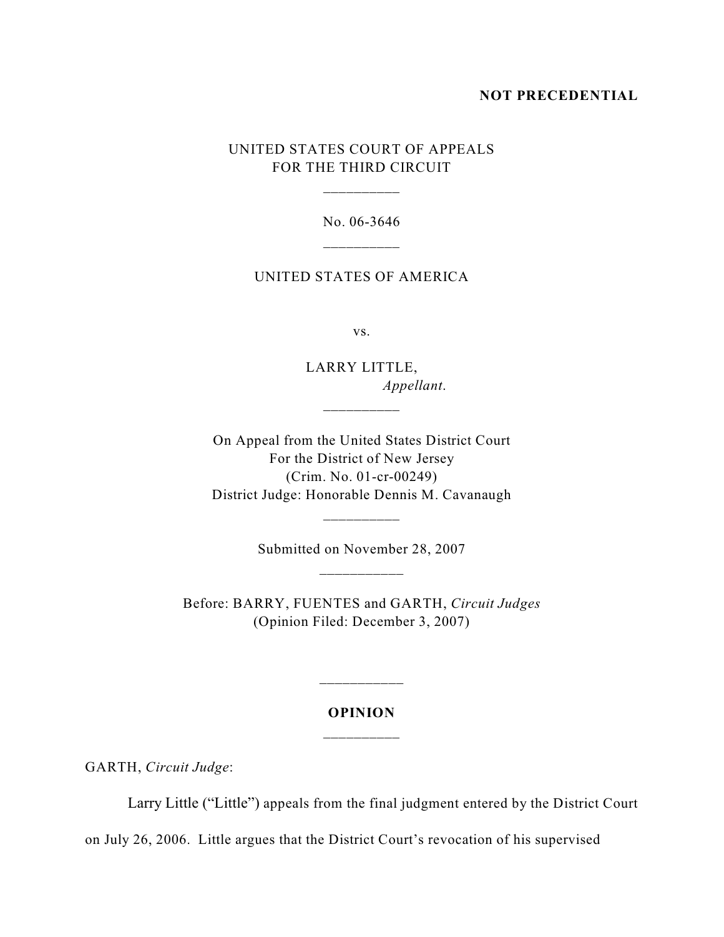#### **NOT PRECEDENTIAL**

# UNITED STATES COURT OF APPEALS FOR THE THIRD CIRCUIT

\_\_\_\_\_\_\_\_\_\_

No. 06-3646 \_\_\_\_\_\_\_\_\_\_

### UNITED STATES OF AMERICA

vs.

LARRY LITTLE, *Appellant*.

On Appeal from the United States District Court For the District of New Jersey (Crim. No. 01-cr-00249) District Judge: Honorable Dennis M. Cavanaugh

\_\_\_\_\_\_\_\_\_\_

Submitted on November 28, 2007

\_\_\_\_\_\_\_\_\_\_

Before: BARRY, FUENTES and GARTH, *Circuit Judges* (Opinion Filed: December 3, 2007)

## **OPINION** \_\_\_\_\_\_\_\_\_\_

GARTH, *Circuit Judge*:

Larry Little ("Little") appeals from the final judgment entered by the District Court

on July 26, 2006. Little argues that the District Court's revocation of his supervised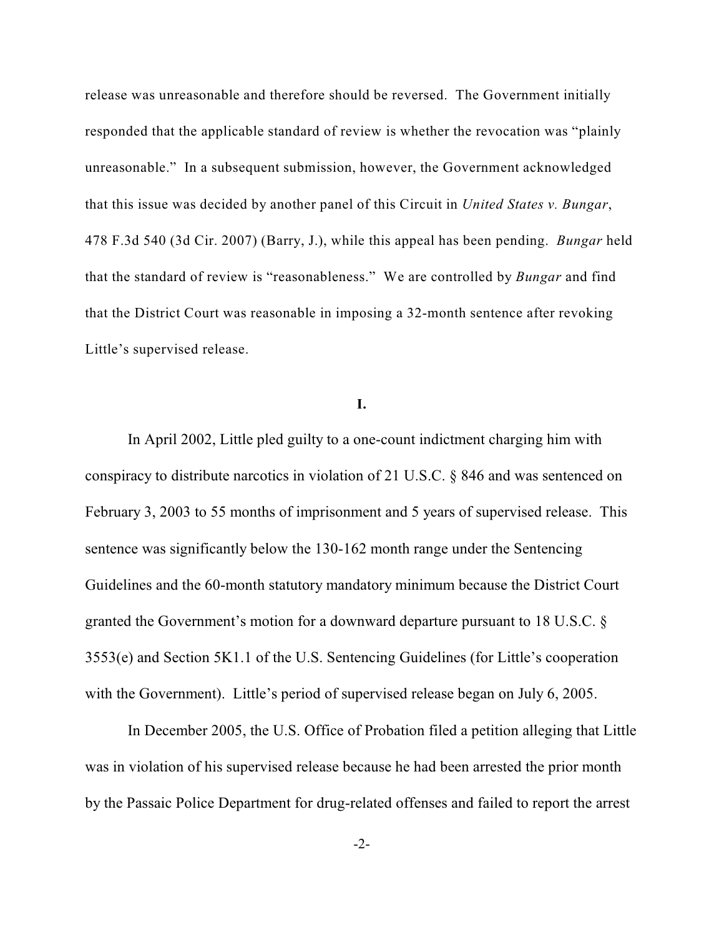release was unreasonable and therefore should be reversed. The Government initially responded that the applicable standard of review is whether the revocation was "plainly unreasonable." In a subsequent submission, however, the Government acknowledged that this issue was decided by another panel of this Circuit in *United States v. Bungar*, 478 F.3d 540 (3d Cir. 2007) (Barry, J.), while this appeal has been pending. *Bungar* held that the standard of review is "reasonableness." We are controlled by *Bungar* and find that the District Court was reasonable in imposing a 32-month sentence after revoking Little's supervised release.

### **I.**

In April 2002, Little pled guilty to a one-count indictment charging him with conspiracy to distribute narcotics in violation of 21 U.S.C. § 846 and was sentenced on February 3, 2003 to 55 months of imprisonment and 5 years of supervised release. This sentence was significantly below the 130-162 month range under the Sentencing Guidelines and the 60-month statutory mandatory minimum because the District Court granted the Government's motion for a downward departure pursuant to 18 U.S.C. § 3553(e) and Section 5K1.1 of the U.S. Sentencing Guidelines (for Little's cooperation with the Government). Little's period of supervised release began on July 6, 2005.

In December 2005, the U.S. Office of Probation filed a petition alleging that Little was in violation of his supervised release because he had been arrested the prior month by the Passaic Police Department for drug-related offenses and failed to report the arrest

-2-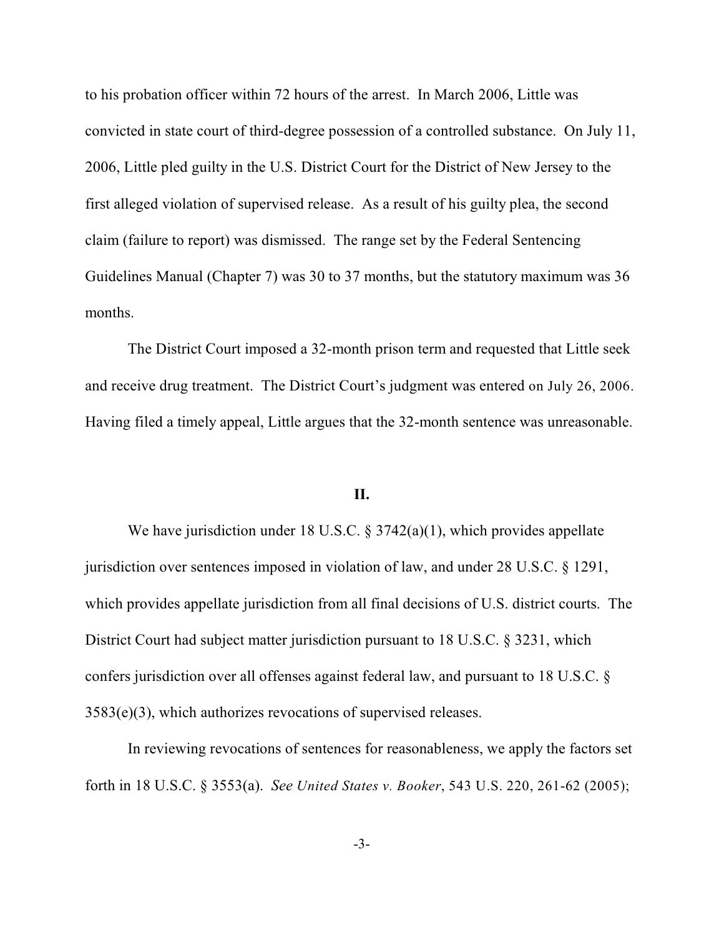to his probation officer within 72 hours of the arrest. In March 2006, Little was convicted in state court of third-degree possession of a controlled substance. On July 11, 2006, Little pled guilty in the U.S. District Court for the District of New Jersey to the first alleged violation of supervised release. As a result of his guilty plea, the second claim (failure to report) was dismissed. The range set by the Federal Sentencing Guidelines Manual (Chapter 7) was 30 to 37 months, but the statutory maximum was 36 months.

The District Court imposed a 32-month prison term and requested that Little seek and receive drug treatment. The District Court's judgment was entered on July 26, 2006. Having filed a timely appeal, Little argues that the 32-month sentence was unreasonable.

#### **II.**

We have jurisdiction under 18 U.S.C. § 3742(a)(1), which provides appellate jurisdiction over sentences imposed in violation of law, and under 28 U.S.C. § 1291, which provides appellate jurisdiction from all final decisions of U.S. district courts. The District Court had subject matter jurisdiction pursuant to 18 U.S.C. § 3231, which confers jurisdiction over all offenses against federal law, and pursuant to 18 U.S.C. § 3583(e)(3), which authorizes revocations of supervised releases.

In reviewing revocations of sentences for reasonableness, we apply the factors set forth in 18 U.S.C. § 3553(a). *See United States v. Booker*, 543 U.S. 220, 261-62 (2005);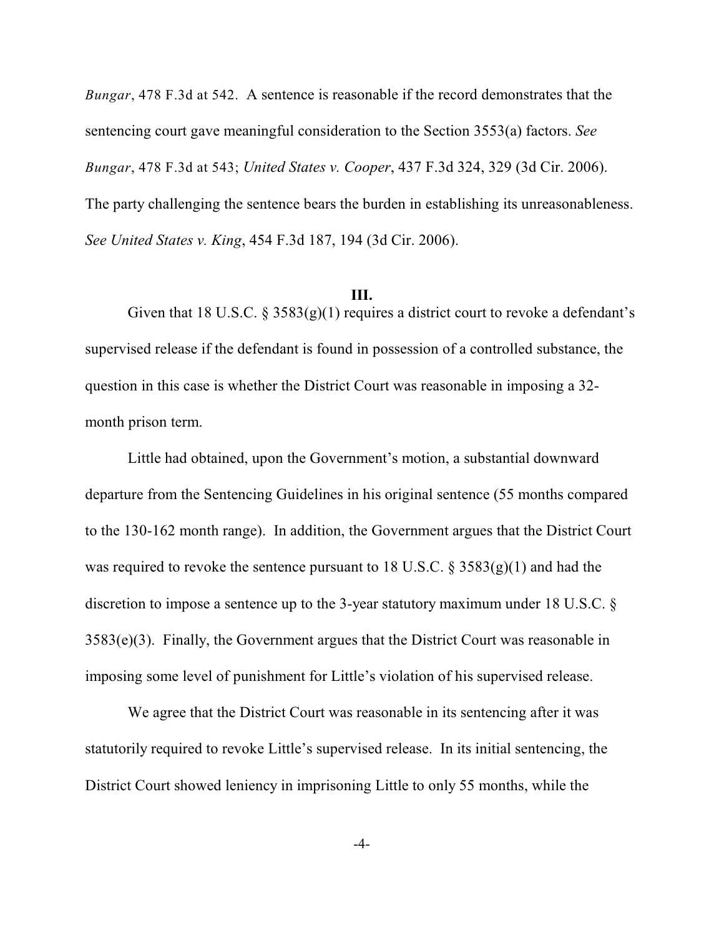*Bungar*, 478 F.3d at 542. A sentence is reasonable if the record demonstrates that the sentencing court gave meaningful consideration to the Section 3553(a) factors. *See Bungar*, 478 F.3d at 543; *United States v. Cooper*, 437 F.3d 324, 329 (3d Cir. 2006). The party challenging the sentence bears the burden in establishing its unreasonableness. *See United States v. King*, 454 F.3d 187, 194 (3d Cir. 2006).

### **III.**

Given that 18 U.S.C. §  $3583(g)(1)$  requires a district court to revoke a defendant's supervised release if the defendant is found in possession of a controlled substance, the question in this case is whether the District Court was reasonable in imposing a 32 month prison term.

Little had obtained, upon the Government's motion, a substantial downward departure from the Sentencing Guidelines in his original sentence (55 months compared to the 130-162 month range). In addition, the Government argues that the District Court was required to revoke the sentence pursuant to 18 U.S.C.  $\S 3583(g)(1)$  and had the discretion to impose a sentence up to the 3-year statutory maximum under 18 U.S.C. § 3583(e)(3). Finally, the Government argues that the District Court was reasonable in imposing some level of punishment for Little's violation of his supervised release.

We agree that the District Court was reasonable in its sentencing after it was statutorily required to revoke Little's supervised release. In its initial sentencing, the District Court showed leniency in imprisoning Little to only 55 months, while the

-4-